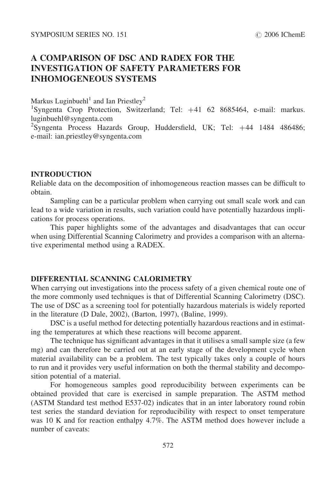# A COMPARISON OF DSC AND RADEX FOR THE INVESTIGATION OF SAFETY PARAMETERS FOR INHOMOGENEOUS SYSTEMS

Markus Luginbuehl<sup>1</sup> and Ian Priestley<sup>2</sup>

<sup>1</sup>Syngenta Crop Protection, Switzerland; Tel: +41 62 8685464, e-mail: markus. luginbuehl@syngenta.com

<sup>2</sup>Syngenta Process Hazards Group, Huddersfield, UK; Tel: +44 1484 486486; e-mail: ian.priestley@syngenta.com

## INTRODUCTION

Reliable data on the decomposition of inhomogeneous reaction masses can be difficult to obtain.

Sampling can be a particular problem when carrying out small scale work and can lead to a wide variation in results, such variation could have potentially hazardous implications for process operations.

This paper highlights some of the advantages and disadvantages that can occur when using Differential Scanning Calorimetry and provides a comparison with an alternative experimental method using a RADEX.

# DIFFERENTIAL SCANNING CALORIMETRY

When carrying out investigations into the process safety of a given chemical route one of the more commonly used techniques is that of Differential Scanning Calorimetry (DSC). The use of DSC as a screening tool for potentially hazardous materials is widely reported in the literature (D Dale, 2002), (Barton, 1997), (Baline, 1999).

DSC is a useful method for detecting potentially hazardous reactions and in estimating the temperatures at which these reactions will become apparent.

The technique has significant advantages in that it utilises a small sample size (a few mg) and can therefore be carried out at an early stage of the development cycle when material availability can be a problem. The test typically takes only a couple of hours to run and it provides very useful information on both the thermal stability and decomposition potential of a material.

For homogeneous samples good reproducibility between experiments can be obtained provided that care is exercised in sample preparation. The ASTM method (ASTM Standard test method E537-02) indicates that in an inter laboratory round robin test series the standard deviation for reproducibility with respect to onset temperature was 10 K and for reaction enthalpy 4.7%. The ASTM method does however include a number of caveats: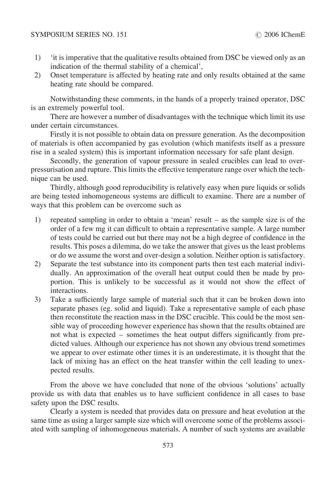#### SYMPOSIUM SERIES NO. 151  $\odot$  2006 IChemE

- 1) 'it is imperative that the qualitative results obtained from DSC be viewed only as an indication of the thermal stability of a chemical',
- 2) Onset temperature is affected by heating rate and only results obtained at the same heating rate should be compared.

Notwithstanding these comments, in the hands of a properly trained operator, DSC is an extremely powerful tool.

There are however a number of disadvantages with the technique which limit its use under certain circumstances.

Firstly it is not possible to obtain data on pressure generation. As the decomposition of materials is often accompanied by gas evolution (which manifests itself as a pressure rise in a sealed system) this is important information necessary for safe plant design.

Secondly, the generation of vapour pressure in sealed crucibles can lead to overpressurisation and rupture. This limits the effective temperature range over which the technique can be used.

Thirdly, although good reproducibility is relatively easy when pure liquids or solids are being tested inhomogeneous systems are difficult to examine. There are a number of ways that this problem can be overcome such as

- 1) repeated sampling in order to obtain a 'mean' result as the sample size is of the order of a few mg it can difficult to obtain a representative sample. A large number of tests could be carried out but there may not be a high degree of confidence in the results. This poses a dilemma, do we take the answer that gives us the least problems or do we assume the worst and over-design a solution. Neither option is satisfactory.
- 2) Separate the test substance into its component parts then test each material individually. An approximation of the overall heat output could then be made by proportion. This is unlikely to be successful as it would not show the effect of interactions.
- 3) Take a sufficiently large sample of material such that it can be broken down into separate phases (eg. solid and liquid). Take a representative sample of each phase then reconstitute the reaction mass in the DSC crucible. This could be the most sensible way of proceeding however experience has shown that the results obtained are not what is expected – sometimes the heat output differs significantly from predicted values. Although our experience has not shown any obvious trend sometimes we appear to over estimate other times it is an underestimate, it is thought that the lack of mixing has an effect on the heat transfer within the cell leading to unexpected results.

From the above we have concluded that none of the obvious 'solutions' actually provide us with data that enables us to have sufficient confidence in all cases to base safety upon the DSC results.

Clearly a system is needed that provides data on pressure and heat evolution at the same time as using a larger sample size which will overcome some of the problems associated with sampling of inhomogeneous materials. A number of such systems are available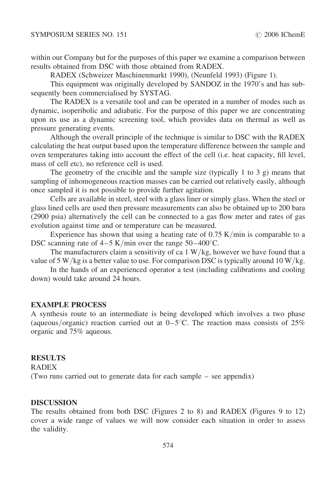within our Company but for the purposes of this paper we examine a comparison between results obtained from DSC with those obtained from RADEX.

RADEX (Schweizer Maschinenmarkt 1990), (Neunfeld 1993) [\(Figure 1\)](#page-4-0).

This equipment was originally developed by SANDOZ in the 1970's and has subsequently been commercialised by SYSTAG.

The RADEX is a versatile tool and can be operated in a number of modes such as dynamic, isoperibolic and adiabatic. For the purpose of this paper we are concentrating upon its use as a dynamic screening tool, which provides data on thermal as well as pressure generating events.

Although the overall principle of the technique is similar to DSC with the RADEX calculating the heat output based upon the temperature difference between the sample and oven temperatures taking into account the effect of the cell (i.e. heat capacity, fill level, mass of cell etc), no reference cell is used.

The geometry of the crucible and the sample size (typically 1 to 3 g) means that sampling of inhomogeneous reaction masses can be carried out relatively easily, although once sampled it is not possible to provide further agitation.

Cells are available in steel, steel with a glass liner or simply glass. When the steel or glass lined cells are used then pressure measurements can also be obtained up to 200 bara (2900 psia) alternatively the cell can be connected to a gas flow meter and rates of gas evolution against time and or temperature can be measured.

Experience has shown that using a heating rate of  $0.75$  K/min is comparable to a DSC scanning rate of  $4-5$  K/min over the range  $50-400^{\circ}$ C.

The manufacturers claim a sensitivity of ca  $1 \text{ W/kg}$ , however we have found that a value of 5 W/kg is a better value to use. For comparison DSC is typically around 10 W/kg.

In the hands of an experienced operator a test (including calibrations and cooling down) would take around 24 hours.

# EXAMPLE PROCESS

A synthesis route to an intermediate is being developed which involves a two phase (aqueous/organic) reaction carried out at  $0-5^{\circ}$ C. The reaction mass consists of 25% organic and 75% aqueous.

## RESULTS

RADEX

(Two runs carried out to generate data for each sample – see appendix)

#### **DISCUSSION**

The results obtained from both DSC [\(Figures 2](#page-5-0) to [8\)](#page-8-0) and RADEX [\(Figures 9](#page-9-0) to [12\)](#page-10-0) cover a wide range of values we will now consider each situation in order to assess the validity.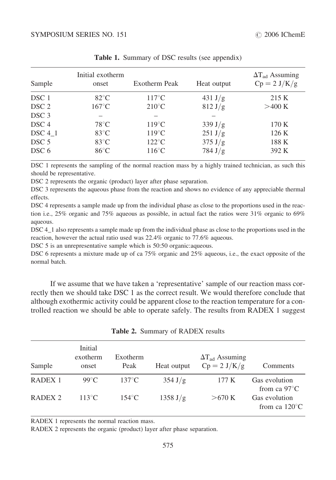| Sample             | Initial exotherm<br>onset | Exotherm Peak   | Heat output       | $\Delta T_{ad}$ Assuming<br>$Cp = 2 J/K/g$ |  |
|--------------------|---------------------------|-----------------|-------------------|--------------------------------------------|--|
| DSC 1              | $82^{\circ}$ C            | $117^{\circ}$ C | $431 \text{ J/g}$ | 215 K                                      |  |
| DSC <sub>2</sub>   | $167^{\circ}$ C           | $210^{\circ}$ C | $812 \text{ J/g}$ | >400 K                                     |  |
| DSC <sub>3</sub>   |                           |                 |                   |                                            |  |
| DSC <sub>4</sub>   | $78^{\circ}$ C            | $119^{\circ}$ C | 339 J/g           | 170 K                                      |  |
| DSC <sub>4</sub> 1 | $83^{\circ}$ C            | $119^{\circ}$ C | 251 J/g           | 126K                                       |  |
| DSC <sub>5</sub>   | $83^{\circ}$ C            | $122^{\circ}$ C | $375 \text{ J/g}$ | 188 K                                      |  |
| DSC 6              | $86^{\circ}$ C            | $116^{\circ}$ C | $784 \text{ J/g}$ | 392 K                                      |  |

Table 1. Summary of DSC results (see appendix)

DSC 1 represents the sampling of the normal reaction mass by a highly trained technician, as such this should be representative.

DSC 2 represents the organic (product) layer after phase separation.

DSC 3 represents the aqueous phase from the reaction and shows no evidence of any appreciable thermal effects.

DSC 4 represents a sample made up from the individual phase as close to the proportions used in the reaction i.e., 25% organic and 75% aqueous as possible, in actual fact the ratios were 31% organic to 69% aqueous.

DSC 4. 1 also represents a sample made up from the individual phase as close to the proportions used in the reaction, however the actual ratio used was 22.4% organic to 77.6% aqueous.

DSC 5 is an unrepresentative sample which is 50:50 organic: aqueous.

DSC 6 represents a mixture made up of ca 75% organic and 25% aqueous, i.e., the exact opposite of the normal batch.

If we assume that we have taken a 'representative' sample of our reaction mass correctly then we should take DSC 1 as the correct result. We would therefore conclude that although exothermic activity could be apparent close to the reaction temperature for a controlled reaction we should be able to operate safely. The results from RADEX 1 suggest

| Sample             | Initial<br>exotherm<br>onset | Exotherm<br>Peak | Heat output        | $\Delta T_{ad}$ Assuming<br>$Cp = 2 J/K/g$ | Comments                                                           |
|--------------------|------------------------------|------------------|--------------------|--------------------------------------------|--------------------------------------------------------------------|
| RADEX <sub>1</sub> | $99^{\circ}$ C               | $137^{\circ}$ C  | $354 \text{ J/g}$  | 177 K                                      | Gas evolution                                                      |
| RADEX <sub>2</sub> | $113^{\circ}$ C              | $154^{\circ}$ C  | $1358 \text{ J/g}$ | >670 K                                     | from ca $97^{\circ}$ C<br>Gas evolution<br>from ca $120^{\circ}$ C |

Table 2. Summary of RADEX results

RADEX 1 represents the normal reaction mass.

RADEX 2 represents the organic (product) layer after phase separation.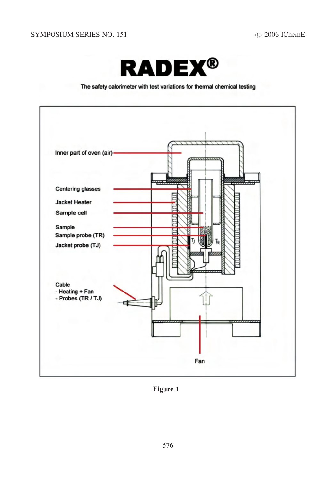

#### The safety calorimeter with test variations for thermal chemical testing

<span id="page-4-0"></span>

Figure 1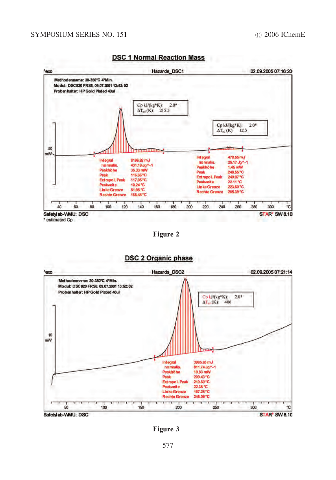<span id="page-5-0"></span>

#### **DSC 1 Normal Reaction Mass**

Figure 2



**DSC 2 Organic phase** 

Figure 3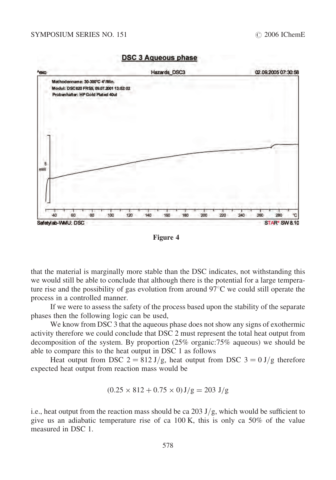

**DSC 3 Aqueous phase** 



that the material is marginally more stable than the DSC indicates, not withstanding this we would still be able to conclude that although there is the potential for a large temperature rise and the possibility of gas evolution from around  $97^{\circ}$ C we could still operate the process in a controlled manner.

If we were to assess the safety of the process based upon the stability of the separate phases then the following logic can be used,

We know from DSC 3 that the aqueous phase does not show any signs of exothermic activity therefore we could conclude that DSC 2 must represent the total heat output from decomposition of the system. By proportion (25% organic:75% aqueous) we should be able to compare this to the heat output in DSC 1 as follows

Heat output from DSC  $2 = 812 \text{ J/g}$ , heat output from DSC  $3 = 0 \text{ J/g}$  therefore expected heat output from reaction mass would be

$$
(0.25 \times 812 + 0.75 \times 0) J/g = 203 J/g
$$

i.e., heat output from the reaction mass should be ca 203 J/g, which would be sufficient to give us an adiabatic temperature rise of ca 100 K, this is only ca 50% of the value measured in DSC 1.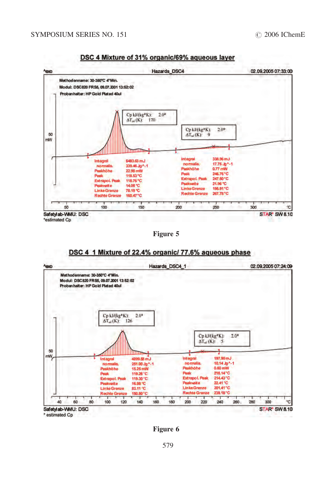

DSC 4 Mixture of 31% organic/69% aqueous layer

Figure 5





Figure 6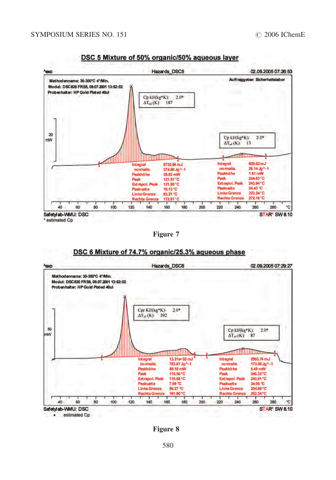<span id="page-8-0"></span>

DSC 5 Mixture of 50% organic/50% agueous layer

Figure 7





Figure 8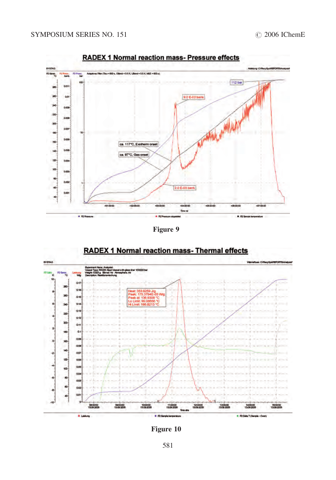<span id="page-9-0"></span>

**RADEX 1 Normal reaction mass-Pressure effects** 

Figure 9



# RADEX 1 Normal reaction mass- Thermal effects

Figure 10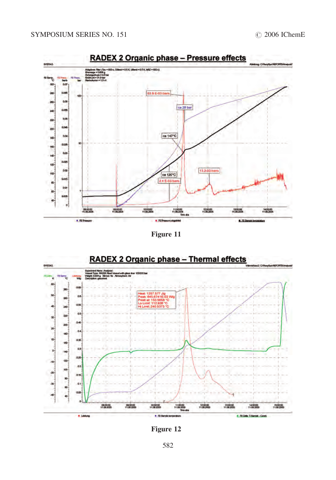<span id="page-10-0"></span>

Figure 11



Figure 12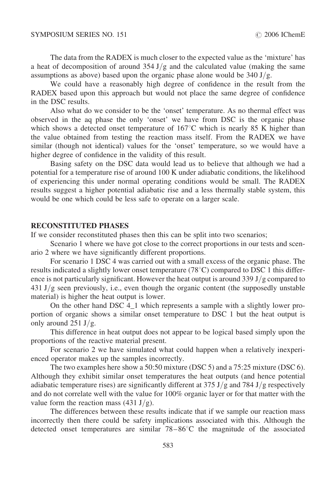The data from the RADEX is much closer to the expected value as the 'mixture' has a heat of decomposition of around  $354 \text{ J/g}$  and the calculated value (making the same assumptions as above) based upon the organic phase alone would be  $340 \text{ J/g}$ .

We could have a reasonably high degree of confidence in the result from the RADEX based upon this approach but would not place the same degree of confidence in the DSC results.

Also what do we consider to be the 'onset' temperature. As no thermal effect was observed in the aq phase the only 'onset' we have from DSC is the organic phase which shows a detected onset temperature of  $167^{\circ}$ C which is nearly 85 K higher than the value obtained from testing the reaction mass itself. From the RADEX we have similar (though not identical) values for the 'onset' temperature, so we would have a higher degree of confidence in the validity of this result.

Basing safety on the DSC data would lead us to believe that although we had a potential for a temperature rise of around 100 K under adiabatic conditions, the likelihood of experiencing this under normal operating conditions would be small. The RADEX results suggest a higher potential adiabatic rise and a less thermally stable system, this would be one which could be less safe to operate on a larger scale.

### RECONSTITUTED PHASES

If we consider reconstituted phases then this can be split into two scenarios;

Scenario 1 where we have got close to the correct proportions in our tests and scenario 2 where we have significantly different proportions.

For scenario 1 DSC 4 was carried out with a small excess of the organic phase. The results indicated a slightly lower onset temperature (78 $^{\circ}$ C) compared to DSC 1 this difference is not particularly significant. However the heat output is around 339  $J/g$  compared to  $431 \text{ J/g}$  seen previously, i.e., even though the organic content (the supposedly unstable material) is higher the heat output is lower.

On the other hand DSC 4\_1 which represents a sample with a slightly lower proportion of organic shows a similar onset temperature to DSC 1 but the heat output is only around  $251 \text{ J/g}$ .

This difference in heat output does not appear to be logical based simply upon the proportions of the reactive material present.

For scenario 2 we have simulated what could happen when a relatively inexperienced operator makes up the samples incorrectly.

The two examples here show a 50:50 mixture (DSC 5) and a 75:25 mixture (DSC 6). Although they exhibit similar onset temperatures the heat outputs (and hence potential adiabatic temperature rises) are significantly different at  $375 \text{ J/g}$  and  $784 \text{ J/g}$  respectively and do not correlate well with the value for 100% organic layer or for that matter with the value form the reaction mass  $(431 \text{ J/g})$ .

The differences between these results indicate that if we sample our reaction mass incorrectly then there could be safety implications associated with this. Although the detected onset temperatures are similar  $78-86^{\circ}$ C the magnitude of the associated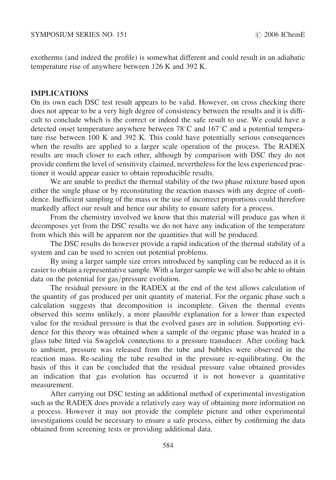exotherms (and indeed the profile) is somewhat different and could result in an adiabatic temperature rise of anywhere between 126 K and 392 K.

# IMPLICATIONS

On its own each DSC test result appears to be valid. However, on cross checking there does not appear to be a very high degree of consistency between the results and it is difficult to conclude which is the correct or indeed the safe result to use. We could have a detected onset temperature anywhere between  $78^{\circ}$ C and  $167^{\circ}$ C and a potential temperature rise between 100 K and 392 K. This could have potentially serious consequences when the results are applied to a larger scale operation of the process. The RADEX results are much closer to each other, although by comparison with DSC they do not provide confirm the level of sensitivity claimed, nevertheless for the less experienced practioner it would appear easier to obtain reproducible results.

We are unable to predict the thermal stability of the two phase mixture based upon either the single phase or by reconstituting the reaction masses with any degree of confidence. Inefficient sampling of the mass or the use of incorrect proportions could therefore markedly affect our result and hence our ability to ensure safety for a process.

From the chemistry involved we know that this material will produce gas when it decomposes yet from the DSC results we do not have any indication of the temperature from which this will be apparent nor the quantities that will be produced.

The DSC results do however provide a rapid indication of the thermal stability of a system and can be used to screen out potential problems.

By using a larger sample size errors introduced by sampling can be reduced as it is easier to obtain a representative sample. With a larger sample we will also be able to obtain data on the potential for gas/pressure evolution.

The residual pressure in the RADEX at the end of the test allows calculation of the quantity of gas produced per unit quantity of material. For the organic phase such a calculation suggests that decomposition is incomplete. Given the thermal events observed this seems unlikely, a more plausible explanation for a lower than expected value for the residual pressure is that the evolved gases are in solution. Supporting evidence for this theory was obtained when a sample of the organic phase was heated in a glass tube fitted via Swagelok connections to a pressure transducer. After cooling back to ambient, pressure was released from the tube and bubbles were observed in the reaction mass. Re-sealing the tube resulted in the pressure re-equilibrating. On the basis of this it can be concluded that the residual pressure value obtained provides an indication that gas evolution has occurred it is not however a quantitative measurement.

After carrying out DSC testing an additional method of experimental investigation such as the RADEX does provide a relatively easy way of obtaining more information on a process. However it may not provide the complete picture and other experimental investigations could be necessary to ensure a safe process, either by confirming the data obtained from screening tests or providing additional data.